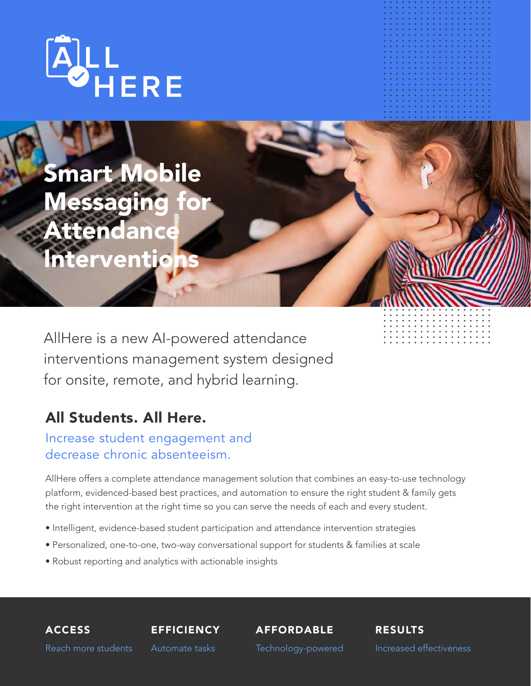

Smart Mobile Messaging for **Attendance Interventions** 

AllHere is a new AI-powered attendance interventions management system designed for onsite, remote, and hybrid learning.

### All Students. All Here.

#### Increase student engagement and decrease chronic absenteeism.

AllHere offers a complete attendance management solution that combines an easy-to-use technology platform, evidenced-based best practices, and automation to ensure the right student & family gets the right intervention at the right time so you can serve the needs of each and every student.

- Intelligent, evidence-based student participation and attendance intervention strategies
- Personalized, one-to-one, two-way conversational support for students & families at scale
- Robust reporting and analytics with actionable insights

ACCESS Reach more students

**EFFICIENCY** Automate tasks

AFFORDABLE

RESULTS

Technology-powered

Increased effectiveness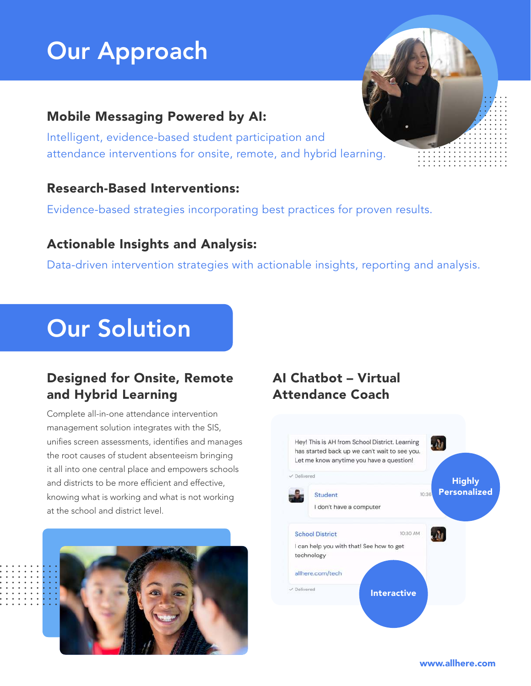# Our Approach

#### Mobile Messaging Powered by AI:

Intelligent, evidence-based student participation and attendance interventions for onsite, remote, and hybrid learning.

#### Research-Based Interventions:

Evidence-based strategies incorporating best practices for proven results.

#### Actionable Insights and Analysis:

Data-driven intervention strategies with actionable insights, reporting and analysis.

# Our Solution

#### Designed for Onsite, Remote and Hybrid Learning

Complete all-in-one attendance intervention management solution integrates with the SIS, unifies screen assessments, identifies and manages the root causes of student absenteeism bringing it all into one central place and empowers schools and districts to be more efficient and effective, knowing what is working and what is not working at the school and district level.



#### AI Chatbot – Virtual Attendance Coach



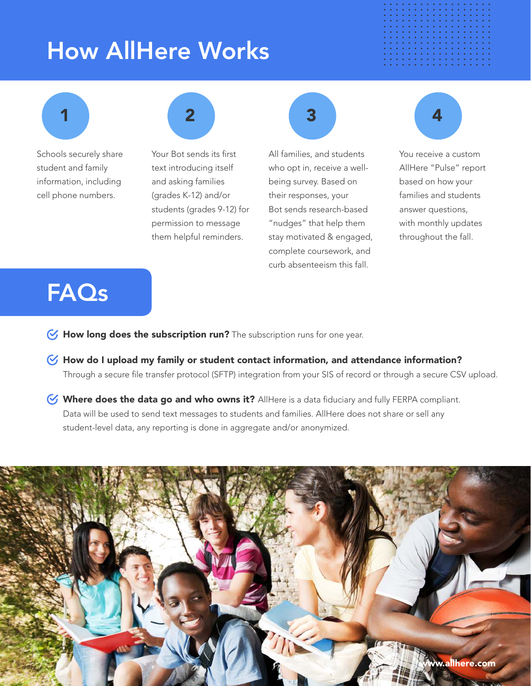## How AllHere Works



Schools securely share student and family information, including cell phone numbers.



Your Bot sends its first text introducing itself and asking families (grades K-12) and/or students (grades 9-12) for permission to message them helpful reminders.

All families, and students who opt in, receive a wellbeing survey. Based on their responses, your Bot sends research-based "nudges" that help them stay motivated & engaged, complete coursework, and curb absenteeism this fall.



You receive a custom AllHere "Pulse" report based on how your families and students answer questions, with monthly updates throughout the fall.

### FAQs

- $\heartsuit$  How long does the subscription run? The subscription runs for one year.
- $\triangledown$  How do I upload my family or student contact information, and attendance information? Through a secure file transfer protocol (SFTP) integration from your SIS of record or through a secure CSV upload.
- Where does the data go and who owns it? AllHere is a data fiduciary and fully FERPA compliant. Data will be used to send text messages to students and families. AllHere does not share or sell any student-level data, any reporting is done in aggregate and/or anonymized.